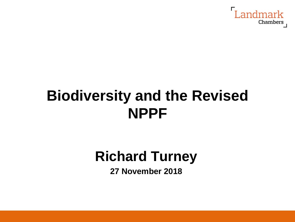

## **Biodiversity and the Revised NPPF**

## **Richard Turney**

**27 November 2018**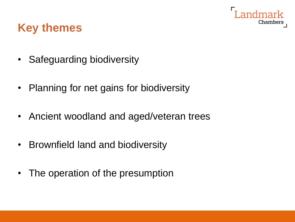

#### **Key themes**

- Safeguarding biodiversity
- Planning for net gains for biodiversity
- Ancient woodland and aged/veteran trees
- Brownfield land and biodiversity
- The operation of the presumption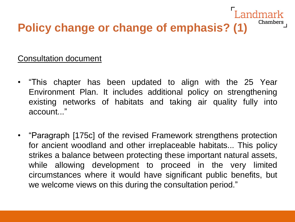#### Landmark Chambers **Policy change or change of emphasis? (1)**

#### Consultation document

- "This chapter has been updated to align with the 25 Year Environment Plan. It includes additional policy on strengthening existing networks of habitats and taking air quality fully into account..."
- "Paragraph [175c] of the revised Framework strengthens protection for ancient woodland and other irreplaceable habitats... This policy strikes a balance between protecting these important natural assets, while allowing development to proceed in the very limited circumstances where it would have significant public benefits, but we welcome views on this during the consultation period."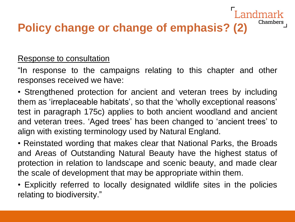## **Policy change or change of emphasis? (2)**

#### Response to consultation

"In response to the campaigns relating to this chapter and other responses received we have:

andmark

Chambers

• Strengthened protection for ancient and veteran trees by including them as 'irreplaceable habitats', so that the 'wholly exceptional reasons' test in paragraph 175c) applies to both ancient woodland and ancient and veteran trees. 'Aged trees' has been changed to 'ancient trees' to align with existing terminology used by Natural England.

• Reinstated wording that makes clear that National Parks, the Broads and Areas of Outstanding Natural Beauty have the highest status of protection in relation to landscape and scenic beauty, and made clear the scale of development that may be appropriate within them.

• Explicitly referred to locally designated wildlife sites in the policies relating to biodiversity."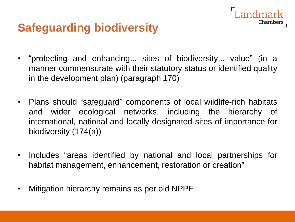#### **Safeguarding biodiversity**

• "protecting and enhancing... sites of biodiversity... value" (in a manner commensurate with their statutory status or identified quality in the development plan) (paragraph 170)

**Landmark** 

Chambers

- Plans should "safeguard" components of local wildlife-rich habitats and wider ecological networks, including the hierarchy of international, national and locally designated sites of importance for biodiversity (174(a))
- Includes "areas identified by national and local partnerships for habitat management, enhancement, restoration or creation"
- Mitigation hierarchy remains as per old NPPF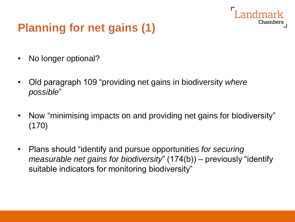## **Planning for net gains (1)**

- No longer optional?
- Old paragraph 109 "providing net gains in biodiversity *where possible*"
- Now "minimising impacts on and providing net gains for biodiversity" (170)

Chamber

• Plans should "identify and pursue opportunities *for securing measurable net gains for biodiversity*" (174(b)) – previously "identify suitable indicators for monitoring biodiversity"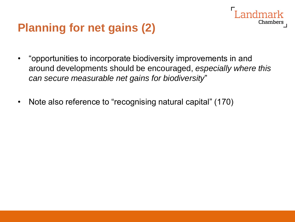### **Planning for net gains (2)**

• "opportunities to incorporate biodiversity improvements in and around developments should be encouraged, *especially where this can secure measurable net gains for biodiversity*"

Chamber:

• Note also reference to "recognising natural capital" (170)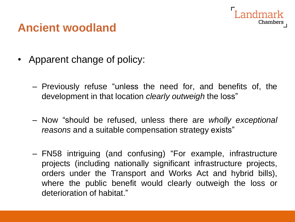

#### **Ancient woodland**

- Apparent change of policy:
	- Previously refuse "unless the need for, and benefits of, the development in that location *clearly outweigh* the loss"
	- Now "should be refused, unless there are *wholly exceptional reasons* and a suitable compensation strategy exists"
	- FN58 intriguing (and confusing) "For example, infrastructure projects (including nationally significant infrastructure projects, orders under the Transport and Works Act and hybrid bills), where the public benefit would clearly outweigh the loss or deterioration of habitat."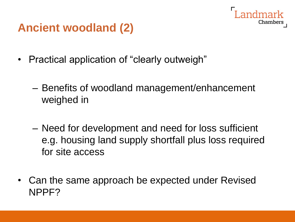# Chamber

## **Ancient woodland (2)**

- Practical application of "clearly outweigh"
	- Benefits of woodland management/enhancement weighed in
	- Need for development and need for loss sufficient e.g. housing land supply shortfall plus loss required for site access
- Can the same approach be expected under Revised NPPF?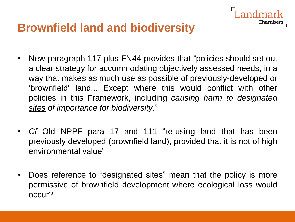#### **Brownfield land and biodiversity**

• New paragraph 117 plus FN44 provides that "policies should set out a clear strategy for accommodating objectively assessed needs, in a way that makes as much use as possible of previously-developed or 'brownfield' land... Except where this would conflict with other policies in this Framework, including *causing harm to designated sites of importance for biodiversity*."

Chambers

- *Cf* Old NPPF para 17 and 111 "re-using land that has been previously developed (brownfield land), provided that it is not of high environmental value"
- Does reference to "designated sites" mean that the policy is more permissive of brownfield development where ecological loss would occur?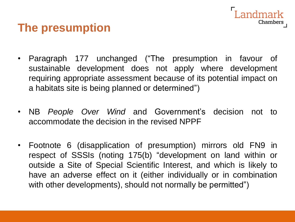#### andmark Chambers

#### **The presumption**

- Paragraph 177 unchanged ("The presumption in favour of sustainable development does not apply where development requiring appropriate assessment because of its potential impact on a habitats site is being planned or determined")
- NB *People Over Wind* and Government's decision not to accommodate the decision in the revised NPPF
- Footnote 6 (disapplication of presumption) mirrors old FN9 in respect of SSSIs (noting 175(b) "development on land within or outside a Site of Special Scientific Interest, and which is likely to have an adverse effect on it (either individually or in combination with other developments), should not normally be permitted")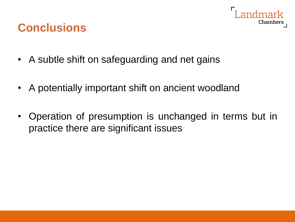

#### **Conclusions**

- A subtle shift on safeguarding and net gains
- A potentially important shift on ancient woodland
- Operation of presumption is unchanged in terms but in practice there are significant issues